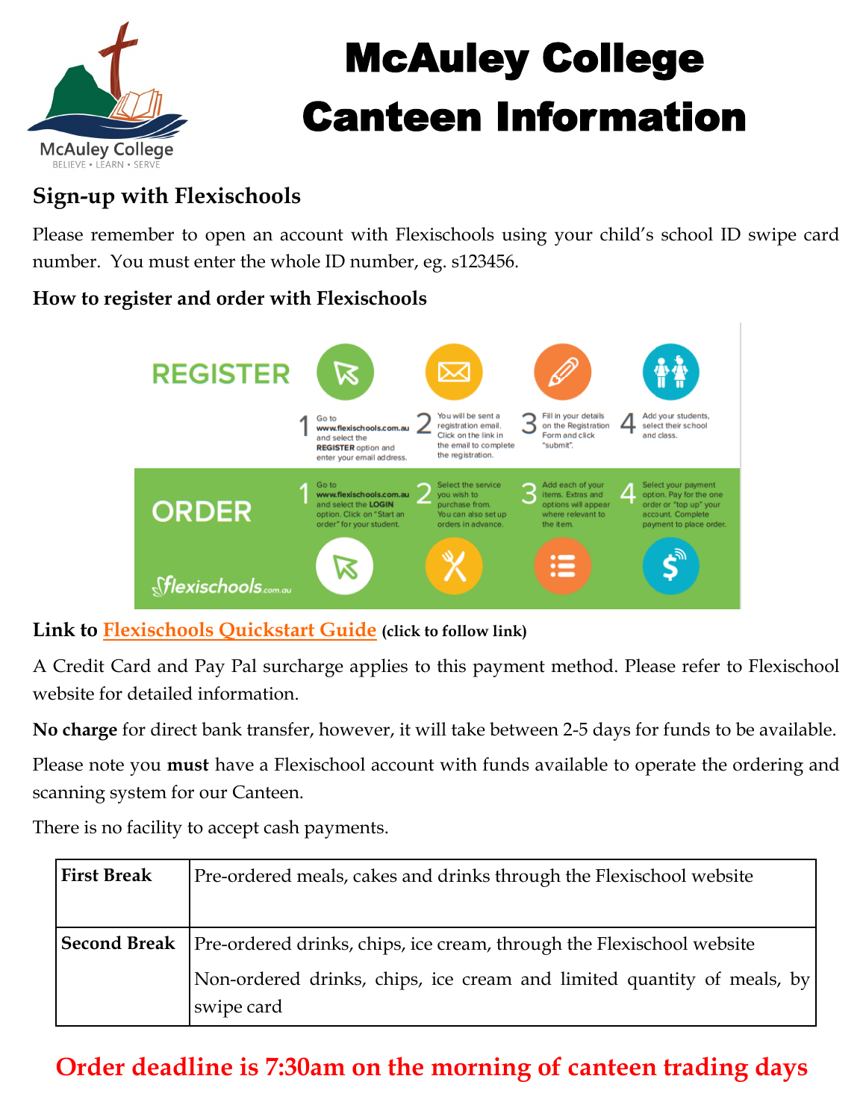

# McAuley College Canteen Information

## **Sign-up with Flexischools**

Please remember to open an account with Flexischools using your child's school ID swipe card number. You must enter the whole ID number, eg. s123456.

#### **How to register and order with Flexischools**



#### **Link to [Flexischools Quickstart Guide](https://www.flexischools.com.au/Portals/33/Quickstart%20Guide_How%20to%20place%20an%20order.pdf) (click to follow link)**

A Credit Card and Pay Pal surcharge applies to this payment method. Please refer to Flexischool website for detailed information.

**No charge** for direct bank transfer, however, it will take between 2-5 days for funds to be available.

Please note you **must** have a Flexischool account with funds available to operate the ordering and scanning system for our Canteen.

There is no facility to accept cash payments.

| <b>First Break</b> | Pre-ordered meals, cakes and drinks through the Flexischool website                         |
|--------------------|---------------------------------------------------------------------------------------------|
|                    | <b>Second Break</b>   Pre-ordered drinks, chips, ice cream, through the Flexischool website |
|                    | Non-ordered drinks, chips, ice cream and limited quantity of meals, by<br>swipe card        |

# **Order deadline is 7:30am on the morning of canteen trading days**